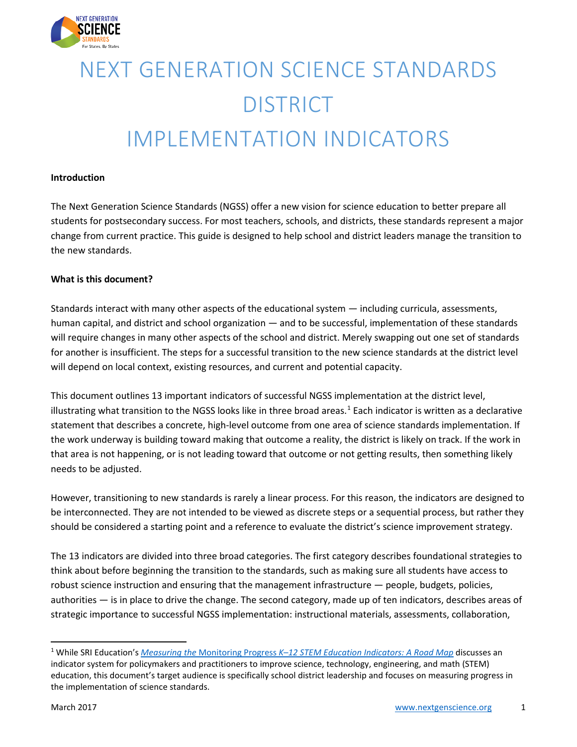

# NEXT GENERATION SCIENCE STANDARDS **DISTRICT** IMPLEMENTATION INDICATORS

#### **Introduction**

The Next Generation Science Standards (NGSS) offer a new vision for science education to better prepare all students for postsecondary success. For most teachers, schools, and districts, these standards represent a major change from current practice. This guide is designed to help school and district leaders manage the transition to the new standards.

#### **What is this document?**

Standards interact with many other aspects of the educational system — including curricula, assessments, human capital, and district and school organization — and to be successful, implementation of these standards will require changes in many other aspects of the school and district. Merely swapping out one set of standards for another is insufficient. The steps for a successful transition to the new science standards at the district level will depend on local context, existing resources, and current and potential capacity.

This document outlines 13 important indicators of successful NGSS implementation at the district level, illustrating what transition to the NGSS looks like in three broad areas.<sup>[1](#page-0-0)</sup> Each indicator is written as a declarative statement that describes a concrete, high-level outcome from one area of science standards implementation. If the work underway is building toward making that outcome a reality, the district is likely on track. If the work in that area is not happening, or is not leading toward that outcome or not getting results, then something likely needs to be adjusted.

However, transitioning to new standards is rarely a linear process. For this reason, the indicators are designed to be interconnected. They are not intended to be viewed as discrete steps or a sequential process, but rather they should be considered a starting point and a reference to evaluate the district's science improvement strategy.

The 13 indicators are divided into three broad categories. The first category describes foundational strategies to think about before beginning the transition to the standards, such as making sure all students have access to robust science instruction and ensuring that the management infrastructure — people, budgets, policies, authorities — is in place to drive the change. The second category, made up of ten indicators, describes areas of strategic importance to successful NGSS implementation: instructional materials, assessments, collaboration,

<span id="page-0-0"></span> <sup>1</sup> While SRI Education's *Measuring the* Monitoring Progress *K–12 [STEM Education Indicators: A Road Map](https://www.sri.com/sites/default/files/publications/measuring_the_monitoring_progress_k-12_stem_education_indicators_-_a_road_map.pdf)* discusses an indicator system for policymakers and practitioners to improve science, technology, engineering, and math (STEM) education, this document's target audience is specifically school district leadership and focuses on measuring progress in the implementation of science standards.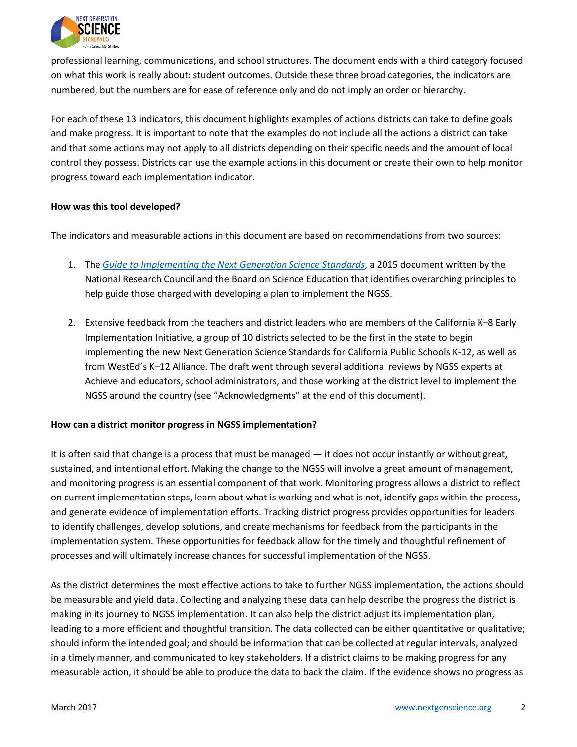

professional learning, communications, and school structures. The document ends with a third category focused on what this work is really about: student outcomes. Outside these three broad categories, the indicators are numbered, but the numbers are for ease of reference only and do not imply an order or hierarchy.

For each of these 13 indicators, this document highlights examples of actions districts can take to define goals and make progress. It is important to note that the examples do not include all the actions a district can take and that some actions may not apply to all districts depending on their specific needs and the amount of local control they possess. Districts can use the example actions in this document or create their own to help monitor progress toward each implementation indicator.

#### **How was this tool developed?**

The indicators and measurable actions in this document are based on recommendations from two sources:

- 1. The *[Guide to Implementing the Next Generation Science Standards](https://www.nap.edu/catalog/18802/guide-to-implementing-the-next-generation-science-standards)*, a 2015 document written by the National Research Council and the Board on Science Education that identifies overarching principles to help guide those charged with developing a plan to implement the NGSS.
- 2. Extensive feedback from the teachers and district leaders who are members of the California K–8 Early Implementation Initiative, a group of 10 districts selected to be the first in the state to begin implementing the new Next Generation Science Standards for California Public Schools K-12, as well as from WestEd's K–12 Alliance. The draft went through several additional reviews by NGSS experts at Achieve and educators, school administrators, and those working at the district level to implement the NGSS around the country (see "Acknowledgments" at the end of this document).

#### **How can a district monitor progress in NGSS implementation?**

It is often said that change is a process that must be managed — it does not occur instantly or without great, sustained, and intentional effort. Making the change to the NGSS will involve a great amount of management, and monitoring progress is an essential component of that work. Monitoring progress allows a district to reflect on current implementation steps, learn about what is working and what is not, identify gaps within the process, and generate evidence of implementation efforts. Tracking district progress provides opportunities for leaders to identify challenges, develop solutions, and create mechanisms for feedback from the participants in the implementation system. These opportunities for feedback allow for the timely and thoughtful refinement of processes and will ultimately increase chances for successful implementation of the NGSS.

As the district determines the most effective actions to take to further NGSS implementation, the actions should be measurable and yield data. Collecting and analyzing these data can help describe the progress the district is making in its journey to NGSS implementation. It can also help the district adjust its implementation plan, leading to a more efficient and thoughtful transition. The data collected can be either quantitative or qualitative; should inform the intended goal; and should be information that can be collected at regular intervals, analyzed in a timely manner, and communicated to key stakeholders. If a district claims to be making progress for any measurable action, it should be able to produce the data to back the claim. If the evidence shows no progress as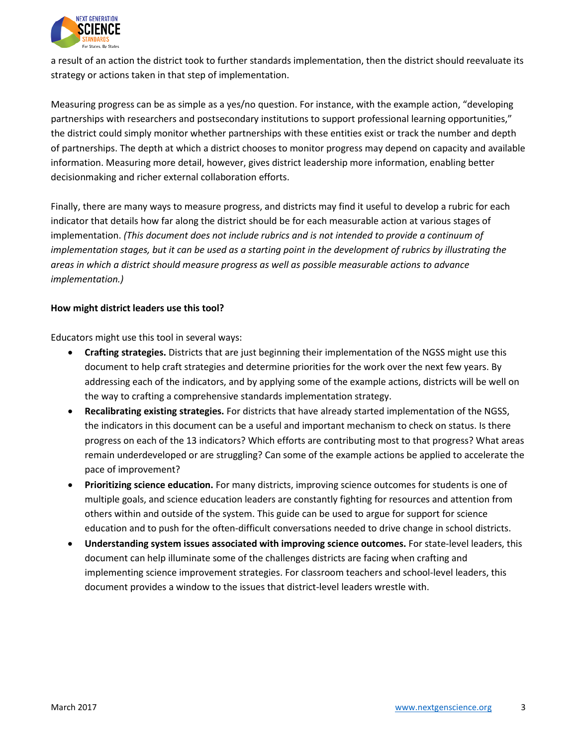

a result of an action the district took to further standards implementation, then the district should reevaluate its strategy or actions taken in that step of implementation.

Measuring progress can be as simple as a yes/no question. For instance, with the example action, "developing partnerships with researchers and postsecondary institutions to support professional learning opportunities," the district could simply monitor whether partnerships with these entities exist or track the number and depth of partnerships. The depth at which a district chooses to monitor progress may depend on capacity and available information. Measuring more detail, however, gives district leadership more information, enabling better decisionmaking and richer external collaboration efforts.

Finally, there are many ways to measure progress, and districts may find it useful to develop a rubric for each indicator that details how far along the district should be for each measurable action at various stages of implementation. *(This document does not include rubrics and is not intended to provide a continuum of implementation stages, but it can be used as a starting point in the development of rubrics by illustrating the areas in which a district should measure progress as well as possible measurable actions to advance implementation.)*

#### **How might district leaders use this tool?**

Educators might use this tool in several ways:

- **Crafting strategies.** Districts that are just beginning their implementation of the NGSS might use this document to help craft strategies and determine priorities for the work over the next few years. By addressing each of the indicators, and by applying some of the example actions, districts will be well on the way to crafting a comprehensive standards implementation strategy.
- **Recalibrating existing strategies.** For districts that have already started implementation of the NGSS, the indicators in this document can be a useful and important mechanism to check on status. Is there progress on each of the 13 indicators? Which efforts are contributing most to that progress? What areas remain underdeveloped or are struggling? Can some of the example actions be applied to accelerate the pace of improvement?
- **Prioritizing science education.** For many districts, improving science outcomes for students is one of multiple goals, and science education leaders are constantly fighting for resources and attention from others within and outside of the system. This guide can be used to argue for support for science education and to push for the often-difficult conversations needed to drive change in school districts.
- **Understanding system issues associated with improving science outcomes.** For state-level leaders, this document can help illuminate some of the challenges districts are facing when crafting and implementing science improvement strategies. For classroom teachers and school-level leaders, this document provides a window to the issues that district-level leaders wrestle with.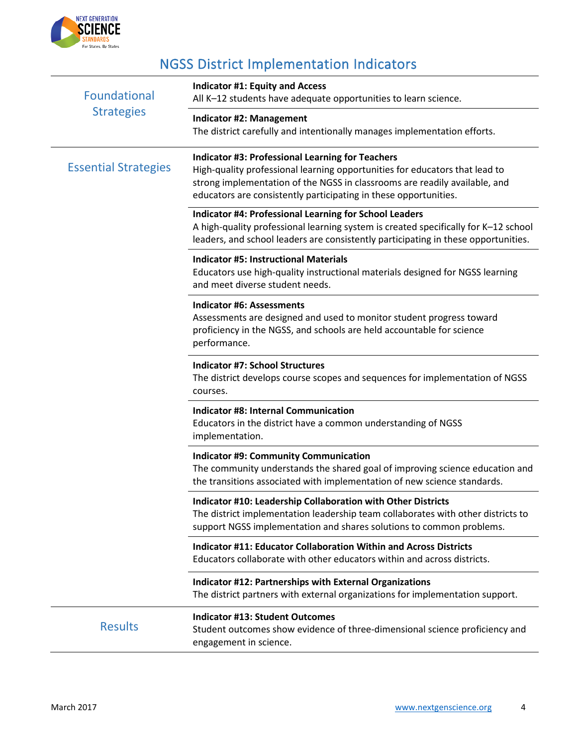

# NGSS District Implementation Indicators

| Foundational<br><b>Strategies</b> | <b>Indicator #1: Equity and Access</b><br>All K-12 students have adequate opportunities to learn science.                                                                                                                                                                                |
|-----------------------------------|------------------------------------------------------------------------------------------------------------------------------------------------------------------------------------------------------------------------------------------------------------------------------------------|
|                                   | <b>Indicator #2: Management</b><br>The district carefully and intentionally manages implementation efforts.                                                                                                                                                                              |
| <b>Essential Strategies</b>       | <b>Indicator #3: Professional Learning for Teachers</b><br>High-quality professional learning opportunities for educators that lead to<br>strong implementation of the NGSS in classrooms are readily available, and<br>educators are consistently participating in these opportunities. |
|                                   | Indicator #4: Professional Learning for School Leaders<br>A high-quality professional learning system is created specifically for K-12 school<br>leaders, and school leaders are consistently participating in these opportunities.                                                      |
|                                   | <b>Indicator #5: Instructional Materials</b><br>Educators use high-quality instructional materials designed for NGSS learning<br>and meet diverse student needs.                                                                                                                         |
|                                   | <b>Indicator #6: Assessments</b><br>Assessments are designed and used to monitor student progress toward<br>proficiency in the NGSS, and schools are held accountable for science<br>performance.                                                                                        |
|                                   | <b>Indicator #7: School Structures</b><br>The district develops course scopes and sequences for implementation of NGSS<br>courses.                                                                                                                                                       |
|                                   | <b>Indicator #8: Internal Communication</b><br>Educators in the district have a common understanding of NGSS<br>implementation.                                                                                                                                                          |
|                                   | <b>Indicator #9: Community Communication</b><br>The community understands the shared goal of improving science education and<br>the transitions associated with implementation of new science standards.                                                                                 |
|                                   | Indicator #10: Leadership Collaboration with Other Districts<br>The district implementation leadership team collaborates with other districts to<br>support NGSS implementation and shares solutions to common problems.                                                                 |
|                                   | <b>Indicator #11: Educator Collaboration Within and Across Districts</b><br>Educators collaborate with other educators within and across districts.                                                                                                                                      |
|                                   | <b>Indicator #12: Partnerships with External Organizations</b><br>The district partners with external organizations for implementation support.                                                                                                                                          |
| <b>Results</b>                    | <b>Indicator #13: Student Outcomes</b><br>Student outcomes show evidence of three-dimensional science proficiency and<br>engagement in science.                                                                                                                                          |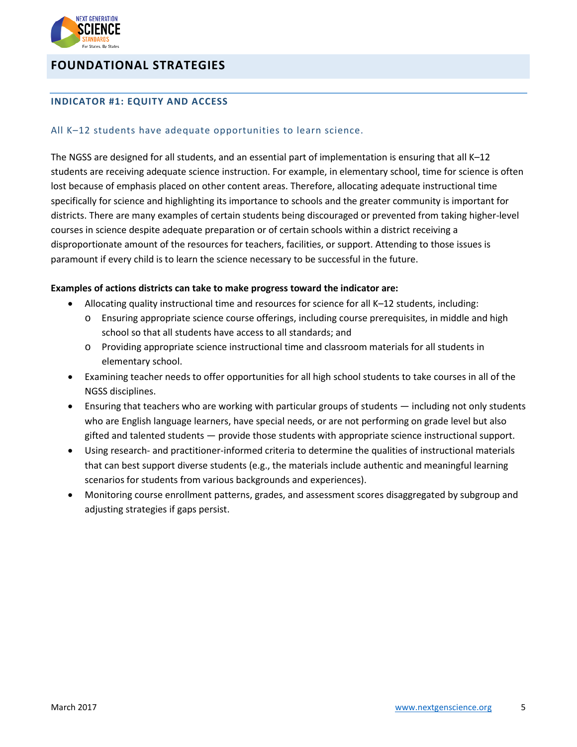

# **FOUNDATIONAL STRATEGIES**

#### **INDICATOR #1: EQUITY AND ACCESS**

#### All K–12 students have adequate opportunities to learn science.

The NGSS are designed for all students, and an essential part of implementation is ensuring that all K–12 students are receiving adequate science instruction. For example, in elementary school, time for science is often lost because of emphasis placed on other content areas. Therefore, allocating adequate instructional time specifically for science and highlighting its importance to schools and the greater community is important for districts. There are many examples of certain students being discouraged or prevented from taking higher-level courses in science despite adequate preparation or of certain schools within a district receiving a disproportionate amount of the resources for teachers, facilities, or support. Attending to those issues is paramount if every child is to learn the science necessary to be successful in the future.

- Allocating quality instructional time and resources for science for all K–12 students, including:
	- o Ensuring appropriate science course offerings, including course prerequisites, in middle and high school so that all students have access to all standards; and
	- o Providing appropriate science instructional time and classroom materials for all students in elementary school.
- Examining teacher needs to offer opportunities for all high school students to take courses in all of the NGSS disciplines.
- Ensuring that teachers who are working with particular groups of students including not only students who are English language learners, have special needs, or are not performing on grade level but also gifted and talented students — provide those students with appropriate science instructional support.
- Using research- and practitioner-informed criteria to determine the qualities of instructional materials that can best support diverse students (e.g., the materials include authentic and meaningful learning scenarios for students from various backgrounds and experiences).
- Monitoring course enrollment patterns, grades, and assessment scores disaggregated by subgroup and adjusting strategies if gaps persist.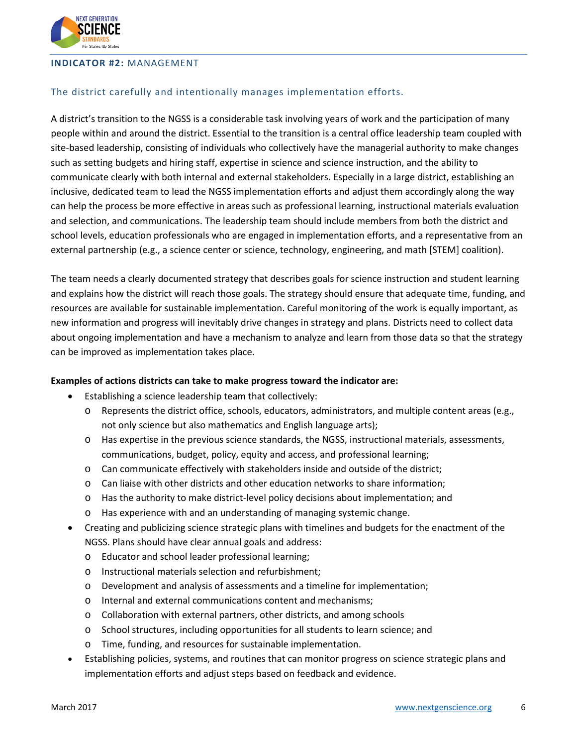

#### **INDICATOR #2:** MANAGEMENT

#### The district carefully and intentionally manages implementation efforts.

A district's transition to the NGSS is a considerable task involving years of work and the participation of many people within and around the district. Essential to the transition is a central office leadership team coupled with site-based leadership, consisting of individuals who collectively have the managerial authority to make changes such as setting budgets and hiring staff, expertise in science and science instruction, and the ability to communicate clearly with both internal and external stakeholders. Especially in a large district, establishing an inclusive, dedicated team to lead the NGSS implementation efforts and adjust them accordingly along the way can help the process be more effective in areas such as professional learning, instructional materials evaluation and selection, and communications. The leadership team should include members from both the district and school levels, education professionals who are engaged in implementation efforts, and a representative from an external partnership (e.g., a science center or science, technology, engineering, and math [STEM] coalition).

The team needs a clearly documented strategy that describes goals for science instruction and student learning and explains how the district will reach those goals. The strategy should ensure that adequate time, funding, and resources are available for sustainable implementation. Careful monitoring of the work is equally important, as new information and progress will inevitably drive changes in strategy and plans. Districts need to collect data about ongoing implementation and have a mechanism to analyze and learn from those data so that the strategy can be improved as implementation takes place.

- Establishing a science leadership team that collectively:
	- o Represents the district office, schools, educators, administrators, and multiple content areas (e.g., not only science but also mathematics and English language arts);
	- o Has expertise in the previous science standards, the NGSS, instructional materials, assessments, communications, budget, policy, equity and access, and professional learning;
	- $\circ$  Can communicate effectively with stakeholders inside and outside of the district;
	- o Can liaise with other districts and other education networks to share information;
	- o Has the authority to make district-level policy decisions about implementation; and
	- o Has experience with and an understanding of managing systemic change.
- Creating and publicizing science strategic plans with timelines and budgets for the enactment of the NGSS. Plans should have clear annual goals and address:
	- o Educator and school leader professional learning;
	- o Instructional materials selection and refurbishment;
	- o Development and analysis of assessments and a timeline for implementation;
	- o Internal and external communications content and mechanisms;
	- o Collaboration with external partners, other districts, and among schools
	- o School structures, including opportunities for all students to learn science; and
	- o Time, funding, and resources for sustainable implementation.
- Establishing policies, systems, and routines that can monitor progress on science strategic plans and implementation efforts and adjust steps based on feedback and evidence.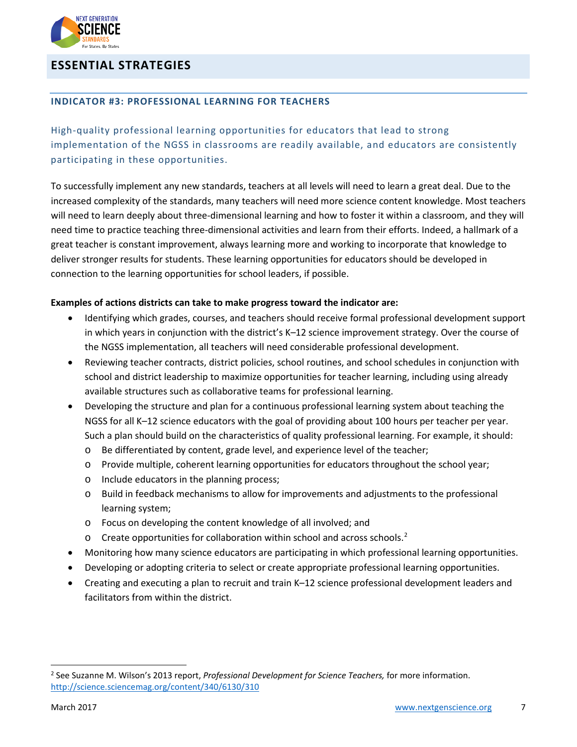

# **ESSENTIAL STRATEGIES**

#### **INDICATOR #3: PROFESSIONAL LEARNING FOR TEACHERS**

High-quality professional learning opportunities for educators that lead to strong implementation of the NGSS in classrooms are readily available, and educators are consistently participating in these opportunities.

To successfully implement any new standards, teachers at all levels will need to learn a great deal. Due to the increased complexity of the standards, many teachers will need more science content knowledge. Most teachers will need to learn deeply about three-dimensional learning and how to foster it within a classroom, and they will need time to practice teaching three-dimensional activities and learn from their efforts. Indeed, a hallmark of a great teacher is constant improvement, always learning more and working to incorporate that knowledge to deliver stronger results for students. These learning opportunities for educators should be developed in connection to the learning opportunities for school leaders, if possible.

- Identifying which grades, courses, and teachers should receive formal professional development support in which years in conjunction with the district's K–12 science improvement strategy. Over the course of the NGSS implementation, all teachers will need considerable professional development.
- Reviewing teacher contracts, district policies, school routines, and school schedules in conjunction with school and district leadership to maximize opportunities for teacher learning, including using already available structures such as collaborative teams for professional learning.
- Developing the structure and plan for a continuous professional learning system about teaching the NGSS for all K–12 science educators with the goal of providing about 100 hours per teacher per year. Such a plan should build on the characteristics of quality professional learning. For example, it should:
	- o Be differentiated by content, grade level, and experience level of the teacher;
	- o Provide multiple, coherent learning opportunities for educators throughout the school year;
	- o Include educators in the planning process;
	- o Build in feedback mechanisms to allow for improvements and adjustments to the professional learning system;
	- o Focus on developing the content knowledge of all involved; and
	- $\circ$  Create opportunities for collaboration within school and across schools.<sup>[2](#page-6-0)</sup>
- Monitoring how many science educators are participating in which professional learning opportunities.
- Developing or adopting criteria to select or create appropriate professional learning opportunities.
- Creating and executing a plan to recruit and train K–12 science professional development leaders and facilitators from within the district.

<span id="page-6-0"></span> <sup>2</sup> See Suzanne M. Wilson's 2013 report, *Professional Development for Science Teachers,* for more information. <http://science.sciencemag.org/content/340/6130/310>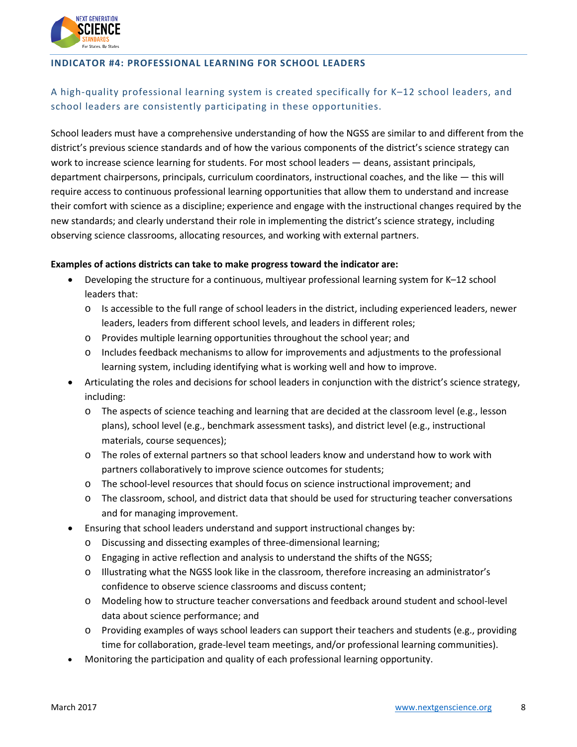

#### **INDICATOR #4: PROFESSIONAL LEARNING FOR SCHOOL LEADERS**

# A high-quality professional learning system is created specifically for K–12 school leaders, and school leaders are consistently participating in these opportunities.

School leaders must have a comprehensive understanding of how the NGSS are similar to and different from the district's previous science standards and of how the various components of the district's science strategy can work to increase science learning for students. For most school leaders — deans, assistant principals, department chairpersons, principals, curriculum coordinators, instructional coaches, and the like — this will require access to continuous professional learning opportunities that allow them to understand and increase their comfort with science as a discipline; experience and engage with the instructional changes required by the new standards; and clearly understand their role in implementing the district's science strategy, including observing science classrooms, allocating resources, and working with external partners.

- Developing the structure for a continuous, multiyear professional learning system for K–12 school leaders that:
	- $\circ$  Is accessible to the full range of school leaders in the district, including experienced leaders, newer leaders, leaders from different school levels, and leaders in different roles;
	- o Provides multiple learning opportunities throughout the school year; and
	- o Includes feedback mechanisms to allow for improvements and adjustments to the professional learning system, including identifying what is working well and how to improve.
- Articulating the roles and decisions for school leaders in conjunction with the district's science strategy, including:
	- o The aspects of science teaching and learning that are decided at the classroom level (e.g., lesson plans), school level (e.g., benchmark assessment tasks), and district level (e.g., instructional materials, course sequences);
	- o The roles of external partners so that school leaders know and understand how to work with partners collaboratively to improve science outcomes for students;
	- o The school-level resources that should focus on science instructional improvement; and
	- o The classroom, school, and district data that should be used for structuring teacher conversations and for managing improvement.
- Ensuring that school leaders understand and support instructional changes by:
	- o Discussing and dissecting examples of three-dimensional learning;
	- o Engaging in active reflection and analysis to understand the shifts of the NGSS;
	- o Illustrating what the NGSS look like in the classroom, therefore increasing an administrator's confidence to observe science classrooms and discuss content;
	- o Modeling how to structure teacher conversations and feedback around student and school-level data about science performance; and
	- o Providing examples of ways school leaders can support their teachers and students (e.g., providing time for collaboration, grade-level team meetings, and/or professional learning communities).
- Monitoring the participation and quality of each professional learning opportunity.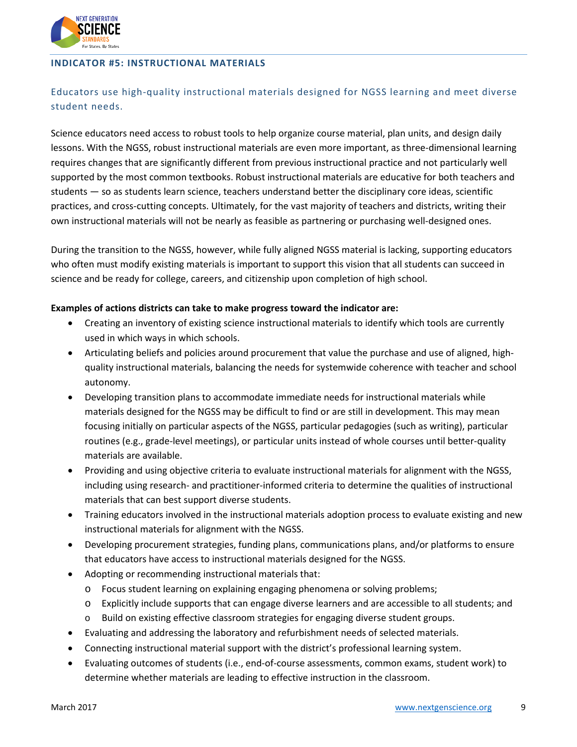

#### **INDICATOR #5: INSTRUCTIONAL MATERIALS**

### Educators use high-quality instructional materials designed for NGSS learning and meet diverse student needs.

Science educators need access to robust tools to help organize course material, plan units, and design daily lessons. With the NGSS, robust instructional materials are even more important, as three-dimensional learning requires changes that are significantly different from previous instructional practice and not particularly well supported by the most common textbooks. Robust instructional materials are educative for both teachers and students — so as students learn science, teachers understand better the disciplinary core ideas, scientific practices, and cross-cutting concepts. Ultimately, for the vast majority of teachers and districts, writing their own instructional materials will not be nearly as feasible as partnering or purchasing well-designed ones.

During the transition to the NGSS, however, while fully aligned NGSS material is lacking, supporting educators who often must modify existing materials is important to support this vision that all students can succeed in science and be ready for college, careers, and citizenship upon completion of high school.

- Creating an inventory of existing science instructional materials to identify which tools are currently used in which ways in which schools.
- Articulating beliefs and policies around procurement that value the purchase and use of aligned, highquality instructional materials, balancing the needs for systemwide coherence with teacher and school autonomy.
- Developing transition plans to accommodate immediate needs for instructional materials while materials designed for the NGSS may be difficult to find or are still in development. This may mean focusing initially on particular aspects of the NGSS, particular pedagogies (such as writing), particular routines (e.g., grade-level meetings), or particular units instead of whole courses until better-quality materials are available.
- Providing and using objective criteria to evaluate instructional materials for alignment with the NGSS, including using research- and practitioner-informed criteria to determine the qualities of instructional materials that can best support diverse students.
- Training educators involved in the instructional materials adoption process to evaluate existing and new instructional materials for alignment with the NGSS.
- Developing procurement strategies, funding plans, communications plans, and/or platforms to ensure that educators have access to instructional materials designed for the NGSS.
- Adopting or recommending instructional materials that:
	- o Focus student learning on explaining engaging phenomena or solving problems;
	- o Explicitly include supports that can engage diverse learners and are accessible to all students; and
	- o Build on existing effective classroom strategies for engaging diverse student groups.
- Evaluating and addressing the laboratory and refurbishment needs of selected materials.
- Connecting instructional material support with the district's professional learning system.
- Evaluating outcomes of students (i.e., end-of-course assessments, common exams, student work) to determine whether materials are leading to effective instruction in the classroom.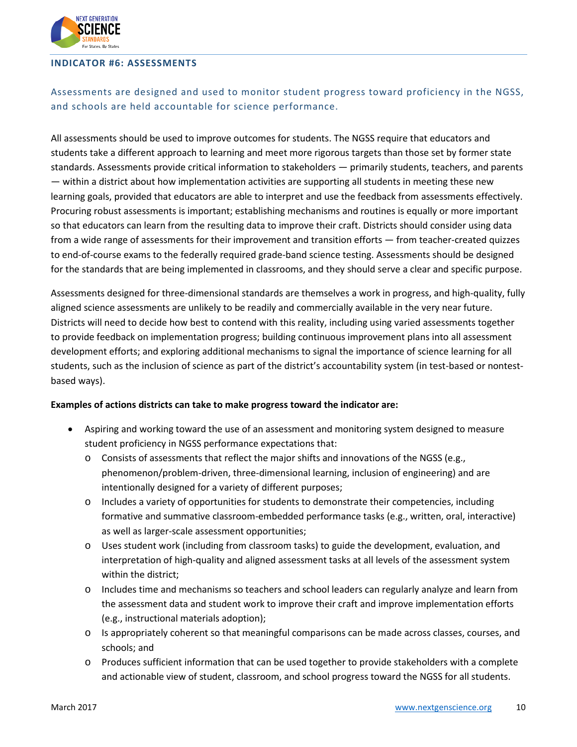

#### **INDICATOR #6: ASSESSMENTS**

# Assessments are designed and used to monitor student progress toward proficiency in the NGSS, and schools are held accountable for science performance.

All assessments should be used to improve outcomes for students. The NGSS require that educators and students take a different approach to learning and meet more rigorous targets than those set by former state standards. Assessments provide critical information to stakeholders — primarily students, teachers, and parents — within a district about how implementation activities are supporting all students in meeting these new learning goals, provided that educators are able to interpret and use the feedback from assessments effectively. Procuring robust assessments is important; establishing mechanisms and routines is equally or more important so that educators can learn from the resulting data to improve their craft. Districts should consider using data from a wide range of assessments for their improvement and transition efforts — from teacher-created quizzes to end-of-course exams to the federally required grade-band science testing. Assessments should be designed for the standards that are being implemented in classrooms, and they should serve a clear and specific purpose.

Assessments designed for three-dimensional standards are themselves a work in progress, and high-quality, fully aligned science assessments are unlikely to be readily and commercially available in the very near future. Districts will need to decide how best to contend with this reality, including using varied assessments together to provide feedback on implementation progress; building continuous improvement plans into all assessment development efforts; and exploring additional mechanisms to signal the importance of science learning for all students, such as the inclusion of science as part of the district's accountability system (in test-based or nontestbased ways).

- Aspiring and working toward the use of an assessment and monitoring system designed to measure student proficiency in NGSS performance expectations that:
	- $\circ$  Consists of assessments that reflect the major shifts and innovations of the NGSS (e.g., phenomenon/problem-driven, three-dimensional learning, inclusion of engineering) and are intentionally designed for a variety of different purposes;
	- o Includes a variety of opportunities for students to demonstrate their competencies, including formative and summative classroom-embedded performance tasks (e.g., written, oral, interactive) as well as larger-scale assessment opportunities;
	- o Uses student work (including from classroom tasks) to guide the development, evaluation, and interpretation of high-quality and aligned assessment tasks at all levels of the assessment system within the district;
	- o Includes time and mechanisms so teachers and school leaders can regularly analyze and learn from the assessment data and student work to improve their craft and improve implementation efforts (e.g., instructional materials adoption);
	- o Is appropriately coherent so that meaningful comparisons can be made across classes, courses, and schools; and
	- o Produces sufficient information that can be used together to provide stakeholders with a complete and actionable view of student, classroom, and school progress toward the NGSS for all students.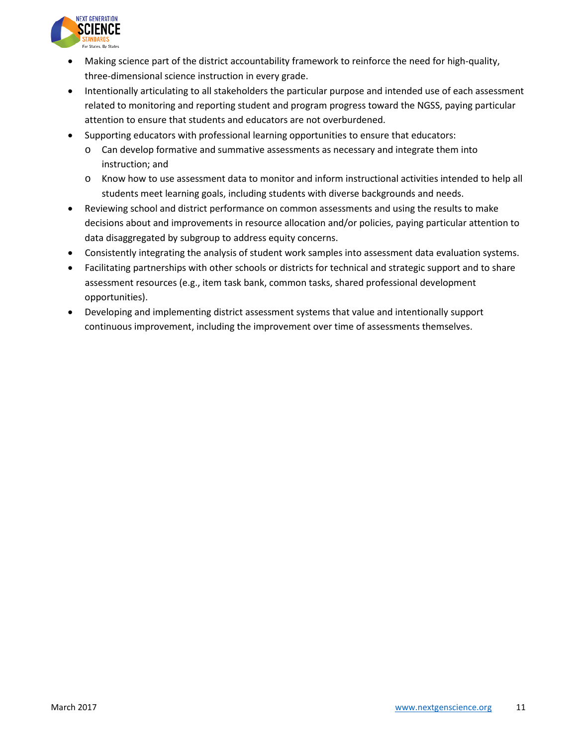

- Making science part of the district accountability framework to reinforce the need for high-quality, three-dimensional science instruction in every grade.
- Intentionally articulating to all stakeholders the particular purpose and intended use of each assessment related to monitoring and reporting student and program progress toward the NGSS, paying particular attention to ensure that students and educators are not overburdened.
- Supporting educators with professional learning opportunities to ensure that educators:
	- o Can develop formative and summative assessments as necessary and integrate them into instruction; and
	- o Know how to use assessment data to monitor and inform instructional activities intended to help all students meet learning goals, including students with diverse backgrounds and needs.
- Reviewing school and district performance on common assessments and using the results to make decisions about and improvements in resource allocation and/or policies, paying particular attention to data disaggregated by subgroup to address equity concerns.
- Consistently integrating the analysis of student work samples into assessment data evaluation systems.
- Facilitating partnerships with other schools or districts for technical and strategic support and to share assessment resources (e.g., item task bank, common tasks, shared professional development opportunities).
- Developing and implementing district assessment systems that value and intentionally support continuous improvement, including the improvement over time of assessments themselves.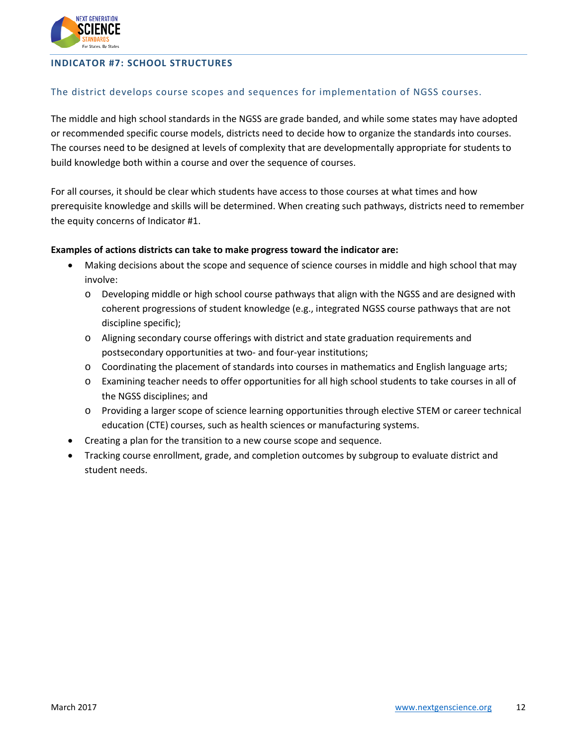

#### **INDICATOR #7: SCHOOL STRUCTURES**

#### The district develops course scopes and sequences for implementation of NGSS courses.

The middle and high school standards in the NGSS are grade banded, and while some states may have adopted or recommended specific course models, districts need to decide how to organize the standards into courses. The courses need to be designed at levels of complexity that are developmentally appropriate for students to build knowledge both within a course and over the sequence of courses.

For all courses, it should be clear which students have access to those courses at what times and how prerequisite knowledge and skills will be determined. When creating such pathways, districts need to remember the equity concerns of Indicator #1.

- Making decisions about the scope and sequence of science courses in middle and high school that may involve:
	- o Developing middle or high school course pathways that align with the NGSS and are designed with coherent progressions of student knowledge (e.g., integrated NGSS course pathways that are not discipline specific);
	- o Aligning secondary course offerings with district and state graduation requirements and postsecondary opportunities at two- and four-year institutions;
	- o Coordinating the placement of standards into courses in mathematics and English language arts;
	- o Examining teacher needs to offer opportunities for all high school students to take courses in all of the NGSS disciplines; and
	- o Providing a larger scope of science learning opportunities through elective STEM or career technical education (CTE) courses, such as health sciences or manufacturing systems.
- Creating a plan for the transition to a new course scope and sequence.
- Tracking course enrollment, grade, and completion outcomes by subgroup to evaluate district and student needs.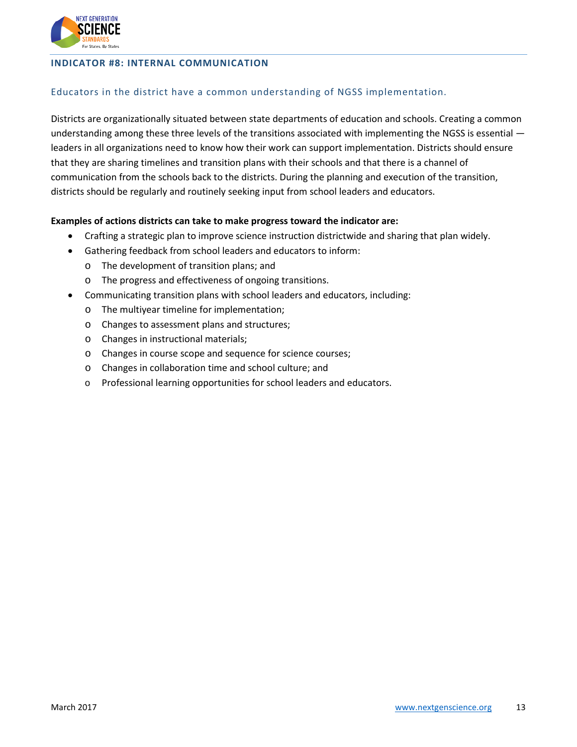

#### **INDICATOR #8: INTERNAL COMMUNICATION**

#### Educators in the district have a common understanding of NGSS implementation.

Districts are organizationally situated between state departments of education and schools. Creating a common understanding among these three levels of the transitions associated with implementing the NGSS is essential leaders in all organizations need to know how their work can support implementation. Districts should ensure that they are sharing timelines and transition plans with their schools and that there is a channel of communication from the schools back to the districts. During the planning and execution of the transition, districts should be regularly and routinely seeking input from school leaders and educators.

- Crafting a strategic plan to improve science instruction districtwide and sharing that plan widely.
- Gathering feedback from school leaders and educators to inform:
	- o The development of transition plans; and
	- o The progress and effectiveness of ongoing transitions.
- Communicating transition plans with school leaders and educators, including:
	- o The multiyear timeline for implementation;
	- o Changes to assessment plans and structures;
	- o Changes in instructional materials;
	- o Changes in course scope and sequence for science courses;
	- o Changes in collaboration time and school culture; and
	- o Professional learning opportunities for school leaders and educators.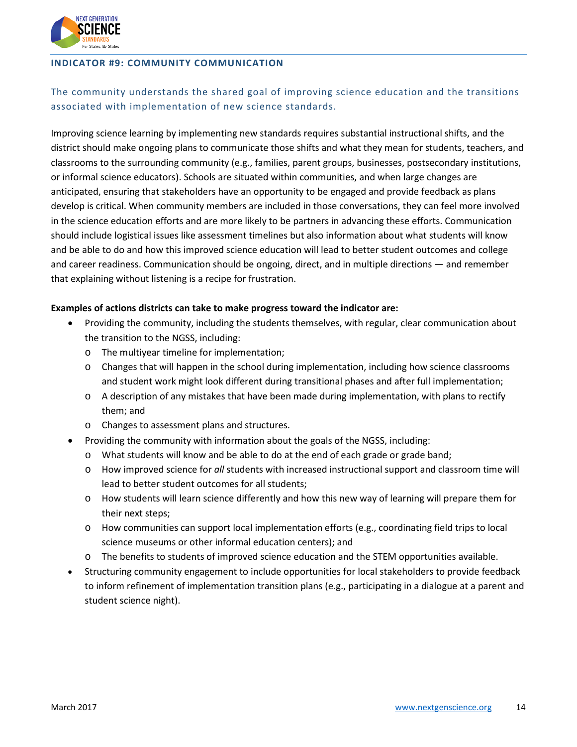

#### **INDICATOR #9: COMMUNITY COMMUNICATION**

# The community understands the shared goal of improving science education and the transitions associated with implementation of new science standards.

Improving science learning by implementing new standards requires substantial instructional shifts, and the district should make ongoing plans to communicate those shifts and what they mean for students, teachers, and classrooms to the surrounding community (e.g., families, parent groups, businesses, postsecondary institutions, or informal science educators). Schools are situated within communities, and when large changes are anticipated, ensuring that stakeholders have an opportunity to be engaged and provide feedback as plans develop is critical. When community members are included in those conversations, they can feel more involved in the science education efforts and are more likely to be partners in advancing these efforts. Communication should include logistical issues like assessment timelines but also information about what students will know and be able to do and how this improved science education will lead to better student outcomes and college and career readiness. Communication should be ongoing, direct, and in multiple directions — and remember that explaining without listening is a recipe for frustration.

- Providing the community, including the students themselves, with regular, clear communication about the transition to the NGSS, including:
	- o The multiyear timeline for implementation;
	- o Changes that will happen in the school during implementation, including how science classrooms and student work might look different during transitional phases and after full implementation;
	- $\circ$  A description of any mistakes that have been made during implementation, with plans to rectify them; and
	- o Changes to assessment plans and structures.
- Providing the community with information about the goals of the NGSS, including:
	- $\circ$  What students will know and be able to do at the end of each grade or grade band;
	- o How improved science for *all* students with increased instructional support and classroom time will lead to better student outcomes for all students;
	- o How students will learn science differently and how this new way of learning will prepare them for their next steps;
	- o How communities can support local implementation efforts (e.g., coordinating field trips to local science museums or other informal education centers); and
	- o The benefits to students of improved science education and the STEM opportunities available.
- Structuring community engagement to include opportunities for local stakeholders to provide feedback to inform refinement of implementation transition plans (e.g., participating in a dialogue at a parent and student science night).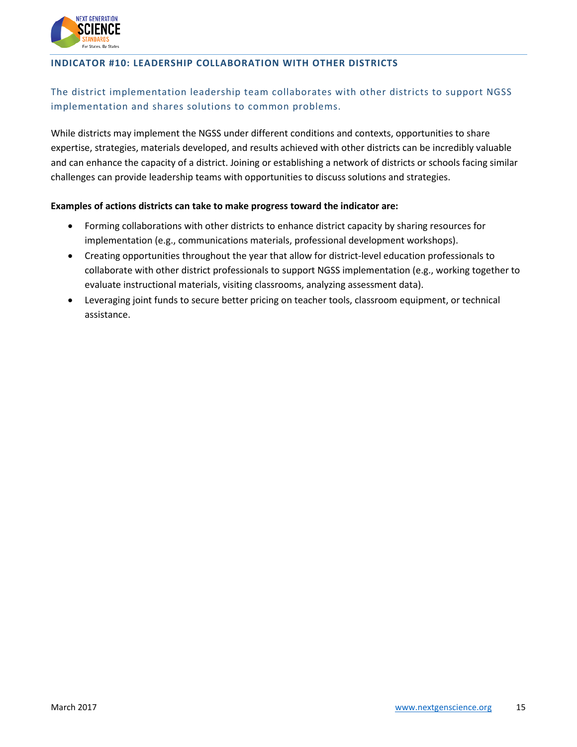

#### **INDICATOR #10: LEADERSHIP COLLABORATION WITH OTHER DISTRICTS**

# The district implementation leadership team collaborates with other districts to support NGSS implementation and shares solutions to common problems.

While districts may implement the NGSS under different conditions and contexts, opportunities to share expertise, strategies, materials developed, and results achieved with other districts can be incredibly valuable and can enhance the capacity of a district. Joining or establishing a network of districts or schools facing similar challenges can provide leadership teams with opportunities to discuss solutions and strategies.

- Forming collaborations with other districts to enhance district capacity by sharing resources for implementation (e.g., communications materials, professional development workshops).
- Creating opportunities throughout the year that allow for district-level education professionals to collaborate with other district professionals to support NGSS implementation (e.g., working together to evaluate instructional materials, visiting classrooms, analyzing assessment data).
- Leveraging joint funds to secure better pricing on teacher tools, classroom equipment, or technical assistance.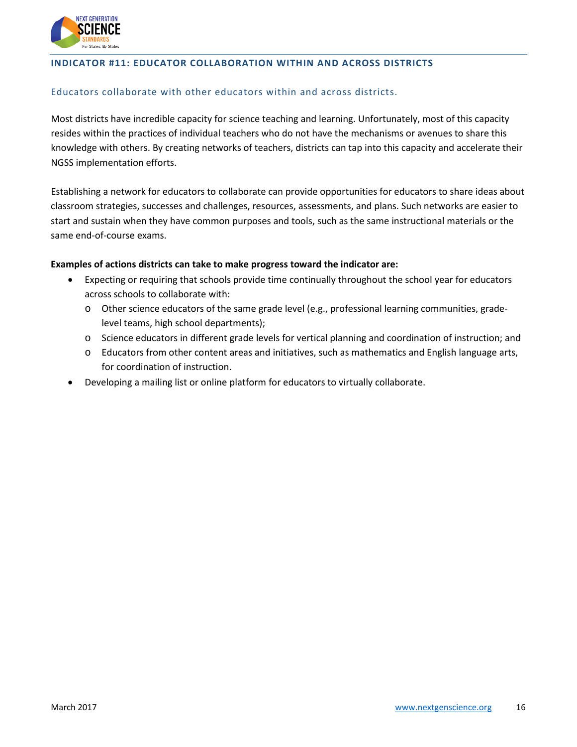

#### **INDICATOR #11: EDUCATOR COLLABORATION WITHIN AND ACROSS DISTRICTS**

#### Educators collaborate with other educators within and across districts.

Most districts have incredible capacity for science teaching and learning. Unfortunately, most of this capacity resides within the practices of individual teachers who do not have the mechanisms or avenues to share this knowledge with others. By creating networks of teachers, districts can tap into this capacity and accelerate their NGSS implementation efforts.

Establishing a network for educators to collaborate can provide opportunities for educators to share ideas about classroom strategies, successes and challenges, resources, assessments, and plans. Such networks are easier to start and sustain when they have common purposes and tools, such as the same instructional materials or the same end-of-course exams.

- Expecting or requiring that schools provide time continually throughout the school year for educators across schools to collaborate with:
	- o Other science educators of the same grade level (e.g., professional learning communities, gradelevel teams, high school departments);
	- o Science educators in different grade levels for vertical planning and coordination of instruction; and
	- o Educators from other content areas and initiatives, such as mathematics and English language arts, for coordination of instruction.
- Developing a mailing list or online platform for educators to virtually collaborate.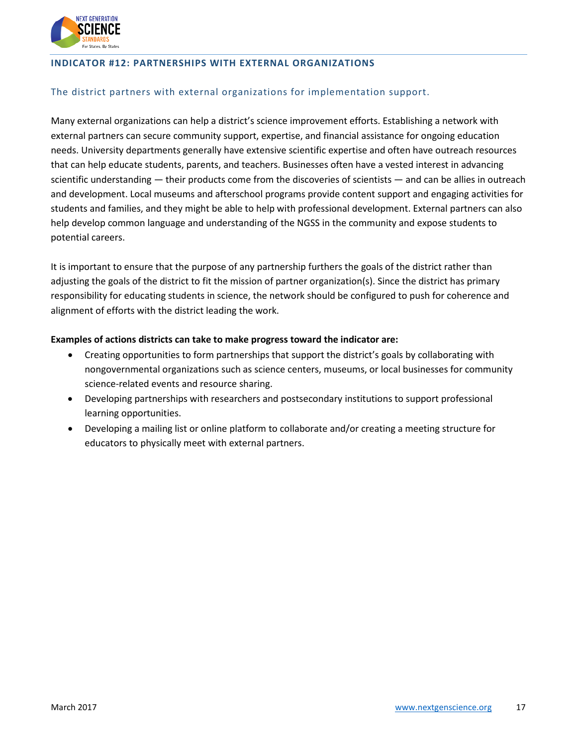

#### **INDICATOR #12: PARTNERSHIPS WITH EXTERNAL ORGANIZATIONS**

#### The district partners with external organizations for implementation support.

Many external organizations can help a district's science improvement efforts. Establishing a network with external partners can secure community support, expertise, and financial assistance for ongoing education needs. University departments generally have extensive scientific expertise and often have outreach resources that can help educate students, parents, and teachers. Businesses often have a vested interest in advancing scientific understanding — their products come from the discoveries of scientists — and can be allies in outreach and development. Local museums and afterschool programs provide content support and engaging activities for students and families, and they might be able to help with professional development. External partners can also help develop common language and understanding of the NGSS in the community and expose students to potential careers.

It is important to ensure that the purpose of any partnership furthers the goals of the district rather than adjusting the goals of the district to fit the mission of partner organization(s). Since the district has primary responsibility for educating students in science, the network should be configured to push for coherence and alignment of efforts with the district leading the work.

- Creating opportunities to form partnerships that support the district's goals by collaborating with nongovernmental organizations such as science centers, museums, or local businesses for community science-related events and resource sharing.
- Developing partnerships with researchers and postsecondary institutions to support professional learning opportunities.
- Developing a mailing list or online platform to collaborate and/or creating a meeting structure for educators to physically meet with external partners.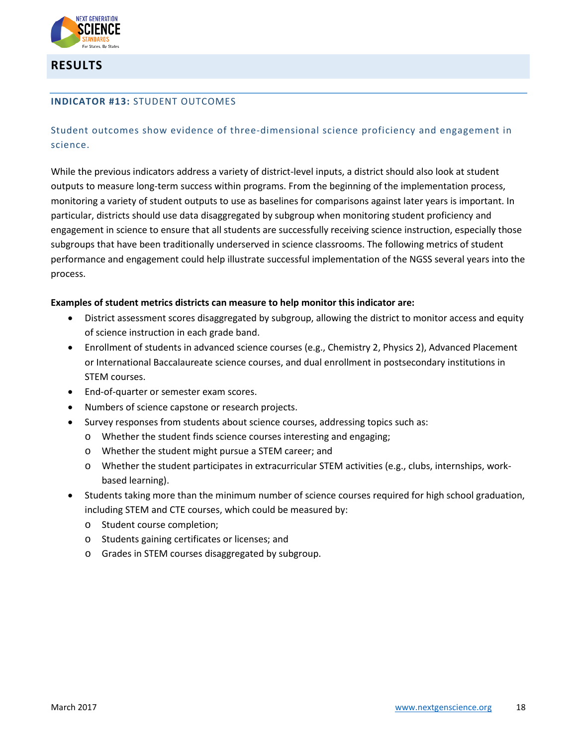

**RESULTS**

#### **INDICATOR #13:** STUDENT OUTCOMES

Student outcomes show evidence of three-dimensional science proficiency and engagement in science.

While the previous indicators address a variety of district-level inputs, a district should also look at student outputs to measure long-term success within programs. From the beginning of the implementation process, monitoring a variety of student outputs to use as baselines for comparisons against later years is important. In particular, districts should use data disaggregated by subgroup when monitoring student proficiency and engagement in science to ensure that all students are successfully receiving science instruction, especially those subgroups that have been traditionally underserved in science classrooms. The following metrics of student performance and engagement could help illustrate successful implementation of the NGSS several years into the process.

#### **Examples of student metrics districts can measure to help monitor this indicator are:**

- District assessment scores disaggregated by subgroup, allowing the district to monitor access and equity of science instruction in each grade band.
- Enrollment of students in advanced science courses (e.g., Chemistry 2, Physics 2), Advanced Placement or International Baccalaureate science courses, and dual enrollment in postsecondary institutions in STEM courses.
- End-of-quarter or semester exam scores.
- Numbers of science capstone or research projects.
- Survey responses from students about science courses, addressing topics such as:
	- o Whether the student finds science courses interesting and engaging;
	- o Whether the student might pursue a STEM career; and
	- o Whether the student participates in extracurricular STEM activities (e.g., clubs, internships, workbased learning).
- Students taking more than the minimum number of science courses required for high school graduation, including STEM and CTE courses, which could be measured by:
	- o Student course completion;
	- o Students gaining certificates or licenses; and
	- o Grades in STEM courses disaggregated by subgroup.